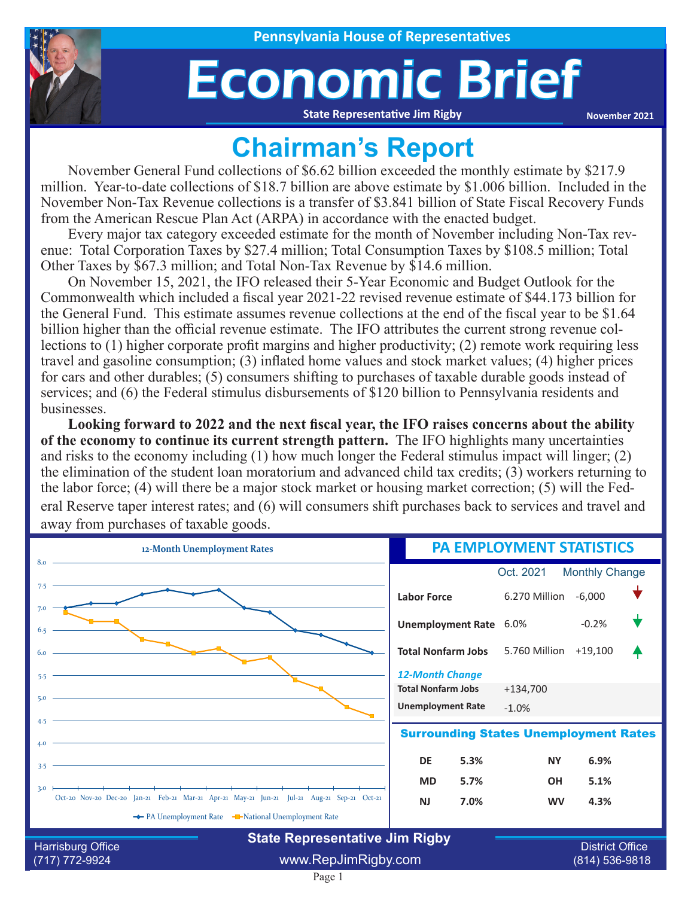

## Economic Brief

**State Representative Jim Rigby**

**November 2021**

## **Chairman's Report**

November General Fund collections of \$6.62 billion exceeded the monthly estimate by \$217.9 million. Year-to-date collections of \$18.7 billion are above estimate by \$1.006 billion. Included in the November Non-Tax Revenue collections is a transfer of \$3.841 billion of State Fiscal Recovery Funds from the American Rescue Plan Act (ARPA) in accordance with the enacted budget.

Every major tax category exceeded estimate for the month of November including Non-Tax revenue: Total Corporation Taxes by \$27.4 million; Total Consumption Taxes by \$108.5 million; Total Other Taxes by \$67.3 million; and Total Non-Tax Revenue by \$14.6 million.

On November 15, 2021, the IFO released their 5-Year Economic and Budget Outlook for the Commonwealth which included a fiscal year 2021-22 revised revenue estimate of \$44.173 billion for the General Fund. This estimate assumes revenue collections at the end of the fiscal year to be \$1.64 billion higher than the official revenue estimate. The IFO attributes the current strong revenue collections to (1) higher corporate profit margins and higher productivity; (2) remote work requiring less travel and gasoline consumption; (3) inflated home values and stock market values; (4) higher prices for cars and other durables; (5) consumers shifting to purchases of taxable durable goods instead of services; and (6) the Federal stimulus disbursements of \$120 billion to Pennsylvania residents and businesses.

**Looking forward to 2022 and the next fiscal year, the IFO raises concerns about the ability of the economy to continue its current strength pattern.** The IFO highlights many uncertainties and risks to the economy including (1) how much longer the Federal stimulus impact will linger; (2) the elimination of the student loan moratorium and advanced child tax credits; (3) workers returning to the labor force; (4) will there be a major stock market or housing market correction; (5) will the Federal Reserve taper interest rates; and (6) will consumers shift purchases back to services and travel and away from purchases of taxable goods.